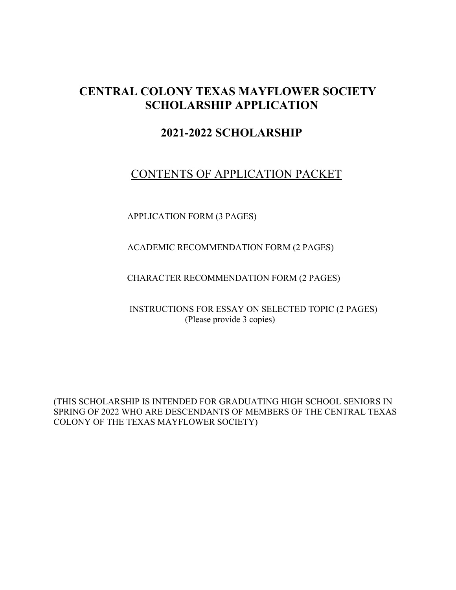# **CENTRAL COLONY TEXAS MAYFLOWER SOCIETY SCHOLARSHIP APPLICATION**

# **2021-2022 SCHOLARSHIP**

# CONTENTS OF APPLICATION PACKET

APPLICATION FORM (3 PAGES)

ACADEMIC RECOMMENDATION FORM (2 PAGES)

CHARACTER RECOMMENDATION FORM (2 PAGES)

 INSTRUCTIONS FOR ESSAY ON SELECTED TOPIC (2 PAGES) (Please provide 3 copies)

(THIS SCHOLARSHIP IS INTENDED FOR GRADUATING HIGH SCHOOL SENIORS IN SPRING OF 2022 WHO ARE DESCENDANTS OF MEMBERS OF THE CENTRAL TEXAS COLONY OF THE TEXAS MAYFLOWER SOCIETY)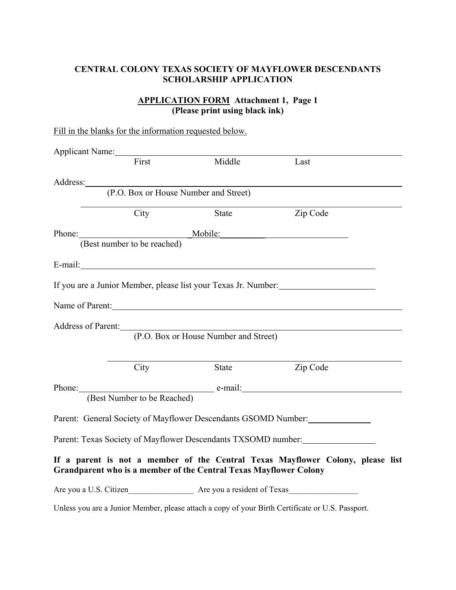# **APPLICATION FORM Attachment 1, Page 1 (Please print using black ink)**

|                 |                             | Fill in the blanks for the information requested below.           |                                                                                                  |
|-----------------|-----------------------------|-------------------------------------------------------------------|--------------------------------------------------------------------------------------------------|
| Applicant Name: |                             |                                                                   |                                                                                                  |
|                 | First                       | Middle                                                            | Last                                                                                             |
|                 |                             |                                                                   |                                                                                                  |
|                 |                             | Address: (P.O. Box or House Number and Street)                    |                                                                                                  |
|                 | City                        | <b>State</b>                                                      | Zip Code                                                                                         |
| Phone: Mobile:  |                             |                                                                   |                                                                                                  |
|                 | (Best number to be reached) |                                                                   |                                                                                                  |
|                 |                             |                                                                   |                                                                                                  |
|                 |                             |                                                                   |                                                                                                  |
|                 |                             |                                                                   | If you are a Junior Member, please list your Texas Jr. Number:                                   |
|                 |                             | Name of Parent:                                                   |                                                                                                  |
|                 |                             | Address of Parent: No. 1996. The Second State of Parent:          |                                                                                                  |
|                 |                             | (P.O. Box or House Number and Street)                             |                                                                                                  |
|                 |                             |                                                                   |                                                                                                  |
|                 | City                        | State                                                             | Zip Code                                                                                         |
|                 |                             |                                                                   | Phone: e-mail: e-mail:                                                                           |
|                 | (Best Number to be Reached) |                                                                   |                                                                                                  |
|                 |                             | Parent: General Society of Mayflower Descendants GSOMD Number:    |                                                                                                  |
|                 |                             |                                                                   |                                                                                                  |
|                 |                             |                                                                   | Parent: Texas Society of Mayflower Descendants TXSOMD number:                                    |
|                 |                             | Grandparent who is a member of the Central Texas Mayflower Colony | If a parent is not a member of the Central Texas Mayflower Colony, please list                   |
|                 |                             | Are you a U.S. Citizen Are you a resident of Texas                |                                                                                                  |
|                 |                             |                                                                   | Unless you are a Junior Member, please attach a copy of your Birth Certificate or U.S. Passport. |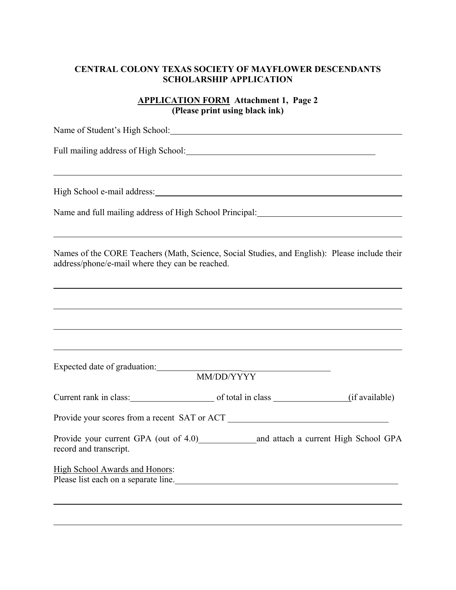# **APPLICATION FORM Attachment 1, Page 2 (Please print using black ink)**

| Name of Student's High School: Name of Student's High School:                                                                                    |
|--------------------------------------------------------------------------------------------------------------------------------------------------|
|                                                                                                                                                  |
|                                                                                                                                                  |
| High School e-mail address: Manual Manual Assembly and School e-mail address:                                                                    |
|                                                                                                                                                  |
| Names of the CORE Teachers (Math, Science, Social Studies, and English): Please include their<br>address/phone/e-mail where they can be reached. |
|                                                                                                                                                  |
|                                                                                                                                                  |
| Expected date of graduation:<br>MM/DD/YYYY                                                                                                       |
|                                                                                                                                                  |
|                                                                                                                                                  |
|                                                                                                                                                  |
| record and transcript.                                                                                                                           |
| High School Awards and Honors:<br>Please list each on a separate line.                                                                           |
|                                                                                                                                                  |

l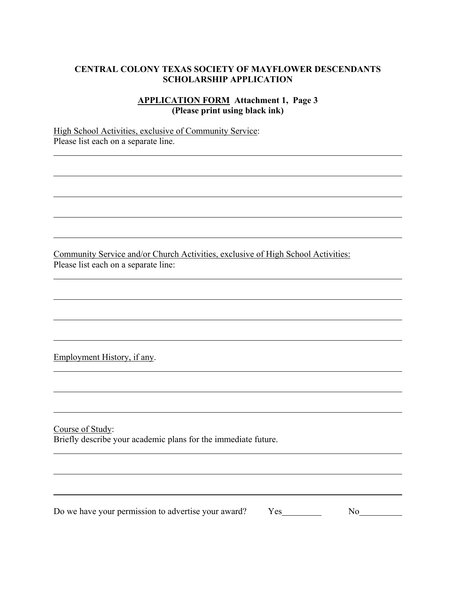## **APPLICATION FORM Attachment 1, Page 3 (Please print using black ink)**

High School Activities, exclusive of Community Service: Please list each on a separate line.

Community Service and/or Church Activities, exclusive of High School Activities: Please list each on a separate line:

Employment History, if any.

l

l

Course of Study: Briefly describe your academic plans for the immediate future.

Do we have your permission to advertise your award? Yes No

\_\_\_\_\_\_\_\_\_\_\_\_\_\_\_\_\_\_\_\_\_\_\_\_\_\_\_\_\_\_\_\_\_\_\_\_\_\_\_\_\_\_\_\_\_\_\_\_\_\_\_\_\_\_\_\_\_\_\_\_\_\_\_\_\_\_\_\_\_\_\_\_\_\_\_\_\_\_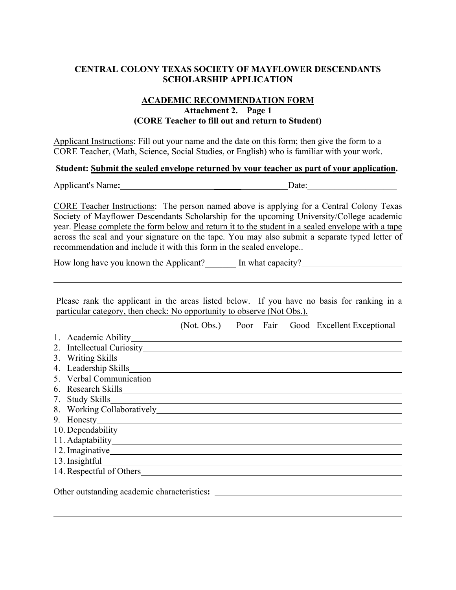#### **ACADEMIC RECOMMENDATION FORM Attachment 2. Page 1 (CORE Teacher to fill out and return to Student)**

Applicant Instructions: Fill out your name and the date on this form; then give the form to a CORE Teacher, (Math, Science, Social Studies, or English) who is familiar with your work.

#### **Student: Submit the sealed envelope returned by your teacher as part of your application.**

Applicant's Name: <u>Date:</u>

CORE Teacher Instructions:The person named above is applying for a Central Colony Texas Society of Mayflower Descendants Scholarship for the upcoming University/College academic year. Please complete the form below and return it to the student in a sealed envelope with a tape across the seal and your signature on the tape. You may also submit a separate typed letter of recommendation and include it with this form in the sealed envelope..

How long have you known the Applicant? In what capacity?

Please rank the applicant in the areas listed below. If you have no basis for ranking in a particular category, then check: No opportunity to observe (Not Obs.).

 $\mathcal{L}_\text{max}$  , which is a set of the set of the set of the set of the set of the set of the set of the set of the set of the set of the set of the set of the set of the set of the set of the set of the set of the set of

(Not. Obs.) Poor Fair Good Excellent Exceptional

- 1. Academic Ability
- 2. Intellectual Curiosity
- 3. Writing Skills
- 4. Leadership Skills
- 5. Verbal Communication
- 6. Research Skills
- 7. Study Skills
- 8. Working Collaboratively
- 9. Honesty
- 10.Dependability
- 11.Adaptability
- 12.Imaginative
- 13. Insightful exponential contract to the set of the set of the set of the set of the set of the set of the set of the set of the set of the set of the set of the set of the set of the set of the set of the set of the set

 $\overline{a}$ 

14. Respectful of Others

Other outstanding academic characteristics**:**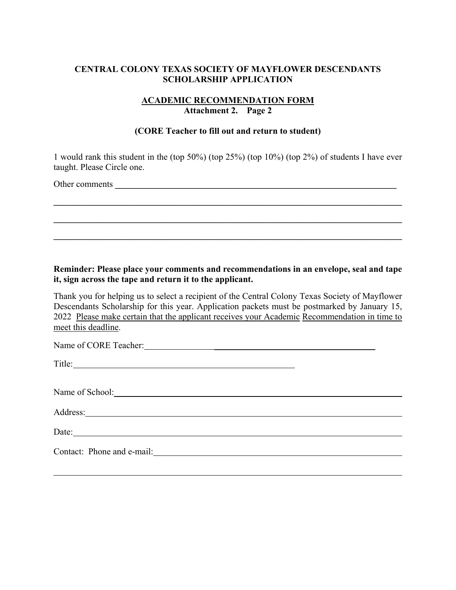## **ACADEMIC RECOMMENDATION FORM Attachment 2. Page 2**

#### **(CORE Teacher to fill out and return to student)**

1 would rank this student in the (top 50%) (top 25%) (top 10%) (top 2%) of students I have ever taught. Please Circle one.

 $\mathcal{L}_\mathcal{L} = \{ \mathcal{L}_\mathcal{L} = \{ \mathcal{L}_\mathcal{L} = \{ \mathcal{L}_\mathcal{L} = \{ \mathcal{L}_\mathcal{L} = \{ \mathcal{L}_\mathcal{L} = \{ \mathcal{L}_\mathcal{L} = \{ \mathcal{L}_\mathcal{L} = \{ \mathcal{L}_\mathcal{L} = \{ \mathcal{L}_\mathcal{L} = \{ \mathcal{L}_\mathcal{L} = \{ \mathcal{L}_\mathcal{L} = \{ \mathcal{L}_\mathcal{L} = \{ \mathcal{L}_\mathcal{L} = \{ \mathcal{L}_\mathcal{$ 

**\_\_\_\_\_\_\_\_\_\_\_\_\_\_\_\_\_\_\_\_\_\_\_\_\_\_\_\_\_\_\_\_\_\_\_\_\_\_\_\_\_\_\_\_\_\_\_\_\_\_\_\_\_\_\_\_\_\_\_\_\_\_\_\_\_\_\_\_\_\_\_\_\_\_\_\_\_\_** 

**\_\_\_\_\_\_\_\_\_\_\_\_\_\_\_\_\_\_\_\_\_\_\_\_\_\_\_\_\_\_\_\_\_\_\_\_\_\_\_\_\_\_\_\_\_\_\_\_\_\_\_\_\_\_\_\_\_\_\_\_\_\_\_\_\_\_\_\_\_\_\_\_\_\_\_\_\_\_** 

Other comments **we are also assumed to the comments** 

l

#### **Reminder: Please place your comments and recommendations in an envelope, seal and tape it, sign across the tape and return it to the applicant.**

Thank you for helping us to select a recipient of the Central Colony Texas Society of Mayflower Descendants Scholarship for this year. Application packets must be postmarked by January 15, 2022 Please make certain that the applicant receives your Academic Recommendation in time to meet this deadline.

| Name of School:                                                            |  |
|----------------------------------------------------------------------------|--|
|                                                                            |  |
| Date: $\frac{1}{\sqrt{1-\frac{1}{2}}\left(\frac{1}{2}-\frac{1}{2}\right)}$ |  |
|                                                                            |  |
|                                                                            |  |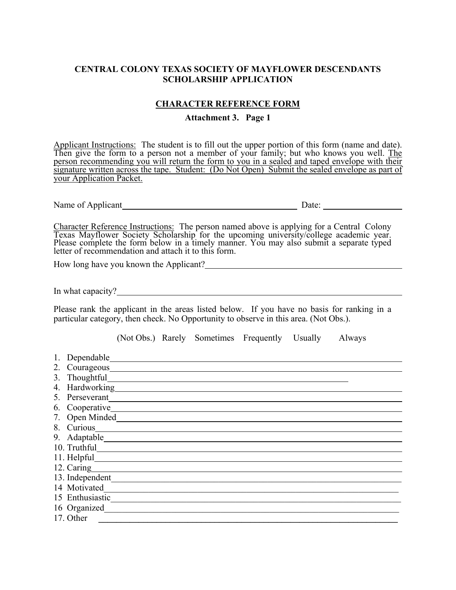#### **CHARACTER REFERENCE FORM**

**Attachment 3. Page 1** 

Applicant Instructions:The student is to fill out the upper portion of this form (name and date). Then give the form to a person not a member of your family; but who knows you well. The person recommending you will return the form to you in a sealed and taped envelope with their signature written across the tape. Student: (Do Not Open) Submit the sealed envelope as part of your Application Packet.

Name of Applicant Date:

Character Reference Instructions: The person named above is applying for a Central Colony<br>Texas Mayflower Society Scholarship for the upcoming university/college academic year.<br>Please complete the form below in a timely ma

How long have you known the Applicant?

In what capacity?

Please rank the applicant in the areas listed below. If you have no basis for ranking in a particular category, then check. No Opportunity to observe in this area. (Not Obs.).

(Not Obs.) Rarely Sometimes Frequently Usually Always

- 1. Dependable
- 2. Courageous
- 3. Thoughtful
- 4. Hardworking
- 5. Perseverant
- 6. Cooperative
- 7. Open Minded
- 8. Curious <u>Constantine and Constantine and Constantine and Constantine and Constantine and Constantine and Constantine and Constantine and Constantine and Constantine and Constantine and Constantine and Constantine and Co</u>
- 9. Adaptable
- 10. Truthful
- 11. Helpful
- 12. Caring
- 13. Independent
- 14 Motivated
- 15 Enthusiastic\_\_\_\_\_\_\_\_\_\_\_\_\_\_\_\_\_\_\_\_\_\_\_\_\_\_\_\_\_\_\_\_\_\_\_\_\_\_\_\_\_\_\_\_\_\_\_\_\_\_\_\_\_\_\_\_\_\_\_\_\_\_\_\_\_ 16 Organized
- 17. Other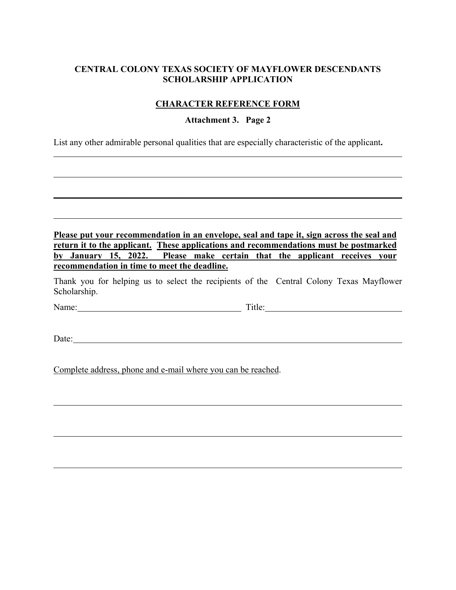## **CHARACTER REFERENCE FORM**

#### **Attachment 3. Page 2**

List any other admirable personal qualities that are especially characteristic of the applicant**.** 

| Please put your recommendation in an envelope, seal and tape it, sign across the seal and |  |  |  |  |  |  |  |  |  |
|-------------------------------------------------------------------------------------------|--|--|--|--|--|--|--|--|--|
| return it to the applicant. These applications and recommendations must be postmarked     |  |  |  |  |  |  |  |  |  |
| by January 15, 2022. Please make certain that the applicant receives your                 |  |  |  |  |  |  |  |  |  |
| recommendation in time to meet the deadline.                                              |  |  |  |  |  |  |  |  |  |

\_\_\_\_\_\_\_\_\_\_\_\_\_\_\_\_\_\_\_\_\_\_\_\_\_\_\_\_\_\_\_\_\_\_\_\_\_\_\_\_\_\_\_\_\_\_\_\_\_\_\_\_\_\_\_\_\_\_\_\_\_\_\_\_\_\_\_\_\_\_\_\_\_\_\_\_\_\_

Thank you for helping us to select the recipients of the Central Colony Texas Mayflower Scholarship.

Name: Title:

 $\overline{a}$ 

l

Date:

l

Complete address, phone and e-mail where you can be reached.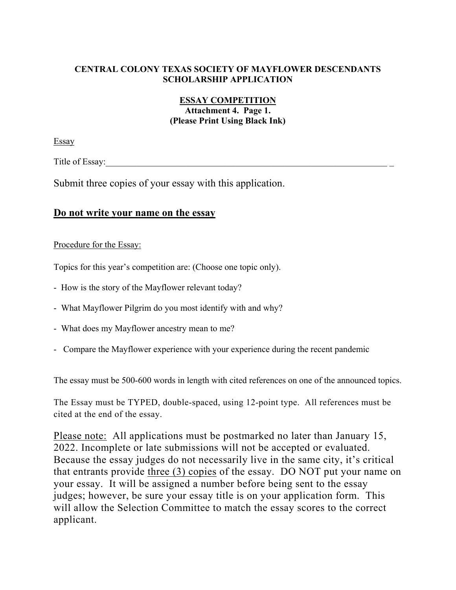# **ESSAY COMPETITION**

#### **Attachment 4. Page 1. (Please Print Using Black Ink)**

Essay

Title of Essay:

Submit three copies of your essay with this application.

# **Do not write your name on the essay**

#### Procedure for the Essay:

Topics for this year's competition are: (Choose one topic only).

- How is the story of the Mayflower relevant today?
- What Mayflower Pilgrim do you most identify with and why?
- What does my Mayflower ancestry mean to me?
- Compare the Mayflower experience with your experience during the recent pandemic

The essay must be 500-600 words in length with cited references on one of the announced topics.

The Essay must be TYPED, double-spaced, using 12-point type. All references must be cited at the end of the essay.

Please note: All applications must be postmarked no later than January 15, 2022. Incomplete or late submissions will not be accepted or evaluated. Because the essay judges do not necessarily live in the same city, it's critical that entrants provide three (3) copies of the essay. DO NOT put your name on your essay. It will be assigned a number before being sent to the essay judges; however, be sure your essay title is on your application form. This will allow the Selection Committee to match the essay scores to the correct applicant.